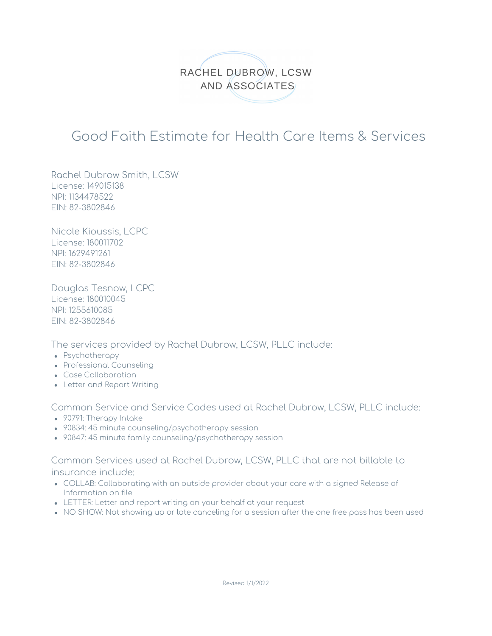

## Good Faith Estimate for Health Care Items & Services

Rachel Dubrow Smith, LCSW License: 149015138 NPI: 1134478522 EIN: 82-3802846

Nicole Kioussis, LCPC License: 180011702 NPI: 1629491261 EIN: 82-3802846

Douglas Tesnow, LCPC License: 180010045 NPI: 1255610085 EIN: 82-3802846

The services provided by Rachel Dubrow, LCSW, PLLC include:

- Psychotherapy
- Professional Counseling
- Case Collaboration
- Letter and Report Writing

Common Service and Service Codes used at Rachel Dubrow, LCSW, PLLC include:

- 90791: Therapy Intake
- 90834: 45 minute counseling/psychotherapy session
- 90847: 45 minute family counseling/psychotherapy session

Common Services used at Rachel Dubrow, LCSW, PLLC that are not billable to insurance include:

- COLLAB: Collaborating with an outside provider about your care with a signed Release of Information on file
- LETTER: Letter and report writing on your behalf at your request
- NO SHOW: Not showing up or late canceling for a session after the one free pass has been used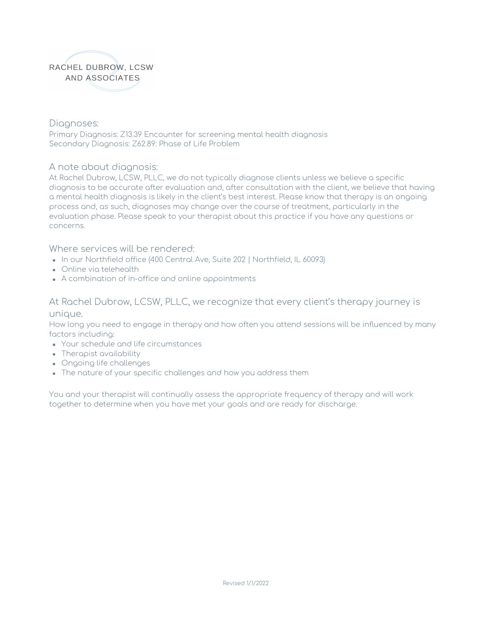

Diagnoses: Primary Diagnosis: Z13.39 Encounter for screening mental health diagnosis Secondary Diagnosis: Z62.89: Phase of Life Problem

## A note about diagnosis:

At Rachel Dubrow, LCSW, PLLC, we do not typically diagnose clients unless we believe a specific diagnosis to be accurate after evaluation and, after consultation with the client, we believe that having a mental health diagnosis is likely in the client's best interest. Please know that therapy is an ongoing process and, as such, diagnoses may change over the course of treatment, particularly in the evaluation phase. Please speak to your therapist about this practice if you have any questions or concerns.

Where services will be rendered:

- In our Northfield office (400 Central Ave, Suite 202 | Northfield, IL 60093)
- Online via telehealth
- A combination of in-office and online appointments

## At Rachel Dubrow, LCSW, PLLC, we recognize that every client's therapy journey is unique.

How long you need to engage in therapy and how often you attend sessions will be influenced by many factors including:

- Your schedule and life circumstances
- Therapist availability
- Ongoing life challenges
- The nature of your specific challenges and how you address them

You and your therapist will continually assess the appropriate frequency of therapy and will work together to determine when you have met your goals and are ready for discharge.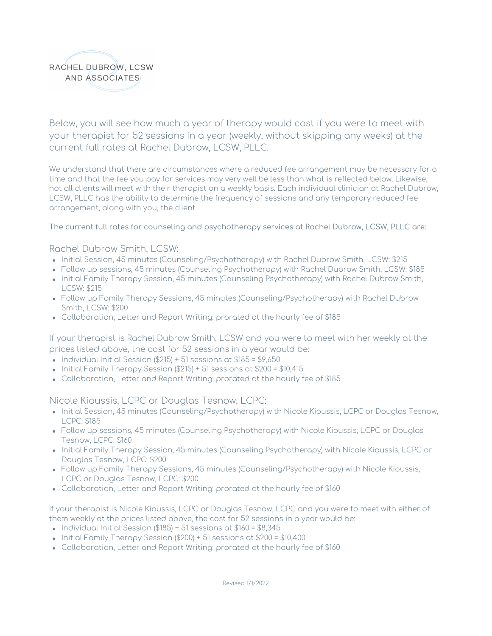

Below, you will see how much a year of therapy would cost if you were to meet with your therapist for 52 sessions in a year (weekly, without skipping any weeks) at the current full rates at Rachel Dubrow, LCSW, PLLC.

We understand that there are circumstances where a reduced fee arrangement may be necessary for a time and that the fee you pay for services may very well be less than what is reflected below. Likewise, not all clients will meet with their therapist on a weekly basis. Each individual clinician at Rachel Dubrow, LCSW, PLLC has the ability to determine the frequency of sessions and any temporary reduced fee arrangement, along with you, the client.

The current full rates for counseling and psychotherapy services at Rachel Dubrow, LCSW, PLLC are:

Rachel Dubrow Smith, LCSW:

- Initial Session, 45 minutes (Counseling/Psychotherapy) with Rachel Dubrow Smith, LCSW: \$215
- Follow up sessions, 45 minutes (Counseling Psychotherapy) with Rachel Dubrow Smith, LCSW: \$185
- Initial Family Therapy Session, 45 minutes (Counseling Psychotherapy) with Rachel Dubrow Smith, LCSW: \$215
- Follow up Family Therapy Sessions, 45 minutes (Counseling/Psychotherapy) with Rachel Dubrow Smith, LCSW: \$200
- Collaboration, Letter and Report Writing: prorated at the hourly fee of \$185

If your therapist is Rachel Dubrow Smith, LCSW and you were to meet with her weekly at the prices listed above, the cost for 52 sessions in a year would be:

- $\bullet$  Individual Initial Session (\$215) + 51 sessions at \$185 = \$9,650
- $\bullet$  Initial Family Therapy Session (\$215) + 51 sessions at \$200 = \$10,415
- Collaboration, Letter and Report Writing: prorated at the hourly fee of \$185

Nicole Kioussis, LCPC or Douglas Tesnow, LCPC:

- Initial Session, 45 minutes (Counseling/Psychotherapy) with Nicole Kioussis, LCPC or Douglas Tesnow, LCPC: \$185
- Follow up sessions, 45 minutes (Counseling Psychotherapy) with Nicole Kioussis, LCPC or Douglas Tesnow, LCPC: \$160
- Initial Family Therapy Session, 45 minutes (Counseling Psychotherapy) with Nicole Kioussis, LCPC or Douglas Tesnow, LCPC: \$200
- Follow up Family Therapy Sessions, 45 minutes (Counseling/Psychotherapy) with Nicole Kioussis, LCPC or Douglas Tesnow, LCPC: \$200
- Collaboration, Letter and Report Writing: prorated at the hourly fee of \$160

If your therapist is Nicole Kioussis, LCPC or Douglas Tesnow, LCPC and you were to meet with either of them weekly at the prices listed above, the cost for 52 sessions in a year would be:

- $\bullet$  Individual Initial Session (\$185) + 51 sessions at \$160 = \$8,345
- $\bullet$  Initial Family Therapy Session (\$200) + 51 sessions at \$200 = \$10,400
- Collaboration, Letter and Report Writing: prorated at the hourly fee of \$160